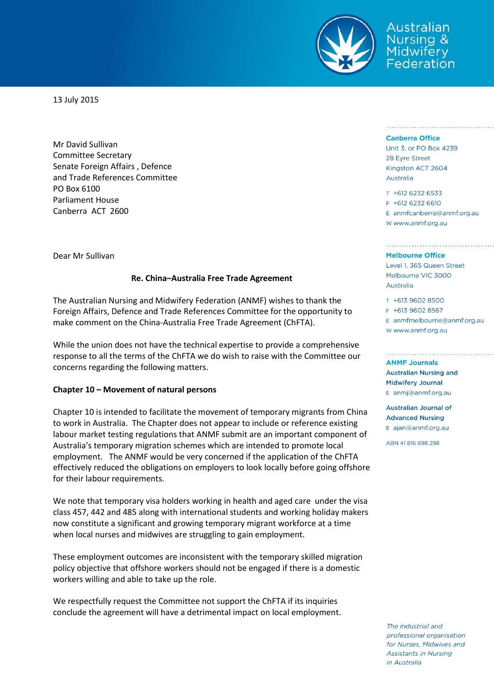

**\ustralian** Nursing & Midwiferv ederation

13 July 2015

Mr David Sullivan Committee Secretary Senate Foreign Affairs , Defence and Trade References Committee PO Box 6100 Parliament House Canberra ACT 2600

Dear Mr Sullivan

### **Re. China–Australia Free Trade Agreement**

The Australian Nursing and Midwifery Federation (ANMF) wishes to thank the Foreign Affairs, Defence and Trade References Committee for the opportunity to make comment on the China-Australia Free Trade Agreement (ChFTA).

While the union does not have the technical expertise to provide a comprehensive response to all the terms of the ChFTA we do wish to raise with the Committee our concerns regarding the following matters.

### **Chapter 10 – Movement of natural persons**

Chapter 10 is intended to facilitate the movement of temporary migrants from China to work in Australia. The Chapter does not appear to include or reference existing labour market testing regulations that ANMF submit are an important component of Australia's temporary migration schemes which are intended to promote local employment. The ANMF would be very concerned if the application of the ChFTA effectively reduced the obligations on employers to look locally before going offshore for their labour requirements.

We note that temporary visa holders working in health and aged care under the visa class 457, 442 and 485 along with international students and working holiday makers now constitute a significant and growing temporary migrant workforce at a time when local nurses and midwives are struggling to gain employment.

These employment outcomes are inconsistent with the temporary skilled migration policy objective that offshore workers should not be engaged if there is a domestic workers willing and able to take up the role.

We respectfully request the Committee not support the ChFTA if its inquiries conclude the agreement will have a detrimental impact on local employment.

### **Canberra Office**

Unit 3, or PO Box 4239 28 Eyre Street Kingston ACT 2604 Australia

T +612 6232 6533 F +612 6232 6610  $E$  anmfcanberra@anmf.org.au w www.anmf.org.au

#### **Melbourne Office**

Level 1, 365 Queen Street Melbourne VIC 3000 Australia

T +613 9602 8500 F +613 9602 8567 E anmfmelbourne@anmf.org.au W www.anmf.org.au

**ANME Journals Australian Nursing and Midwifery Journal** E anmj@anmf.org.au

**Australian Journal of Advanced Nursing** E ajan@anmf.org.au

ABN 41816898298

The industrial and professional organisation for Nurses, Midwives and **Assistants in Nursing** in Australia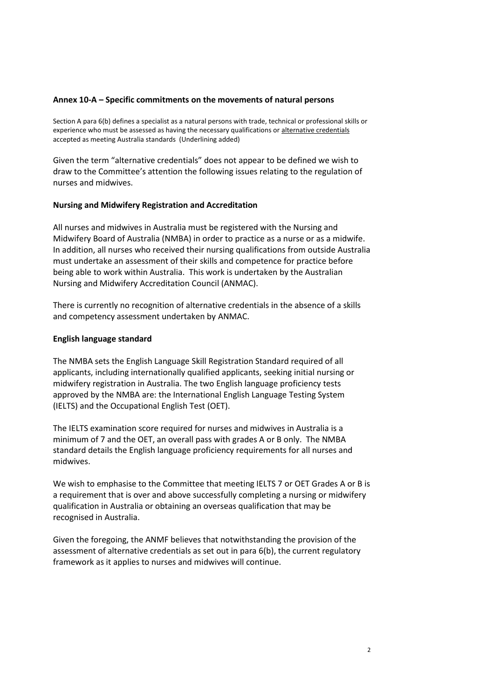## **Annex 10-A – Specific commitments on the movements of natural persons**

Section A para 6(b) defines a specialist as a natural persons with trade, technical or professional skills or experience who must be assessed as having the necessary qualifications or alternative credentials accepted as meeting Australia standards (Underlining added)

Given the term "alternative credentials" does not appear to be defined we wish to draw to the Committee's attention the following issues relating to the regulation of nurses and midwives.

# **Nursing and Midwifery Registration and Accreditation**

All nurses and midwives in Australia must be registered with the Nursing and Midwifery Board of Australia (NMBA) in order to practice as a nurse or as a midwife. In addition, all nurses who received their nursing qualifications from outside Australia must undertake an assessment of their skills and competence for practice before being able to work within Australia. This work is undertaken by the Australian Nursing and Midwifery Accreditation Council (ANMAC).

There is currently no recognition of alternative credentials in the absence of a skills and competency assessment undertaken by ANMAC.

# **English language standard**

The NMBA sets the English Language Skill Registration Standard required of all applicants, including internationally qualified applicants, seeking initial nursing or midwifery registration in Australia. The two English language proficiency tests approved by the NMBA are: the International English Language Testing System (IELTS) and the Occupational English Test (OET).

The IELTS examination score required for nurses and midwives in Australia is a minimum of 7 and the OET, an overall pass with grades A or B only. The NMBA standard details the English language proficiency requirements for all nurses and midwives.

We wish to emphasise to the Committee that meeting IELTS 7 or OET Grades A or B is a requirement that is over and above successfully completing a nursing or midwifery qualification in Australia or obtaining an overseas qualification that may be recognised in Australia.

Given the foregoing, the ANMF believes that notwithstanding the provision of the assessment of alternative credentials as set out in para 6(b), the current regulatory framework as it applies to nurses and midwives will continue.